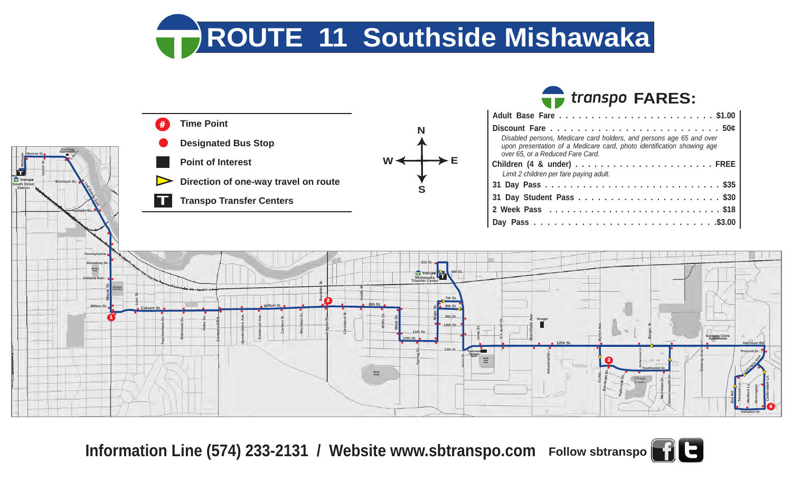**ROUTE 11 Southside Mishawaka**



**Information Line (574) 233-2131 / Website www.sbtranspo.com Follow sbtranspo**